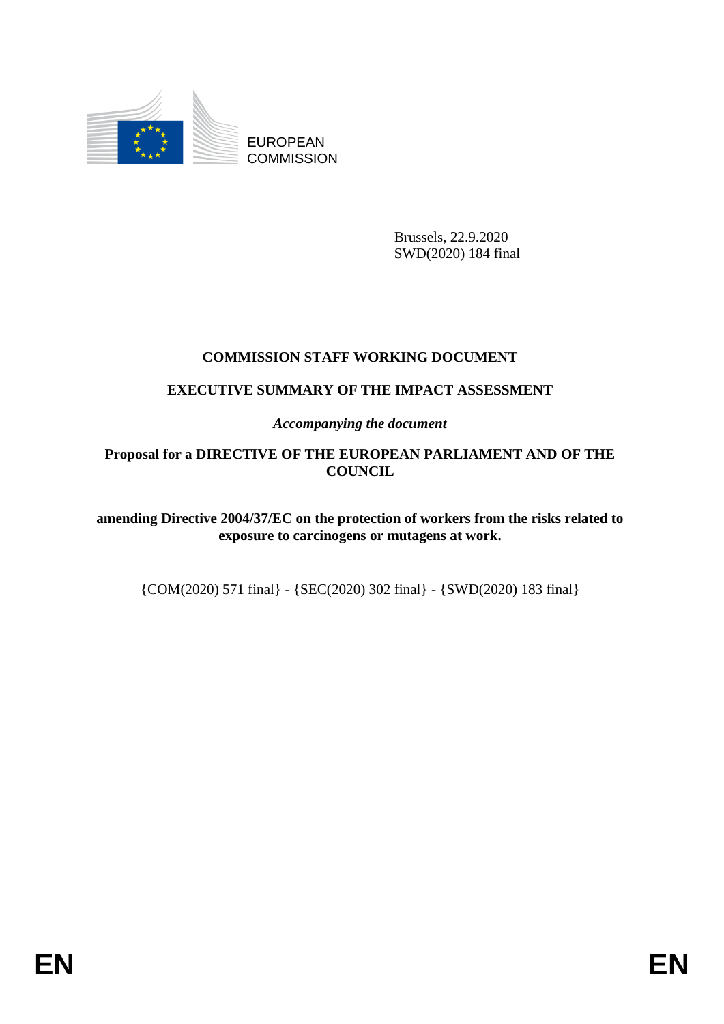

EUROPEAN **COMMISSION** 

> Brussels, 22.9.2020 SWD(2020) 184 final

# **COMMISSION STAFF WORKING DOCUMENT**

# **EXECUTIVE SUMMARY OF THE IMPACT ASSESSMENT**

*Accompanying the document*

## **Proposal for a DIRECTIVE OF THE EUROPEAN PARLIAMENT AND OF THE COUNCIL**

**amending Directive 2004/37/EC on the protection of workers from the risks related to exposure to carcinogens or mutagens at work.**

{COM(2020) 571 final} - {SEC(2020) 302 final} - {SWD(2020) 183 final}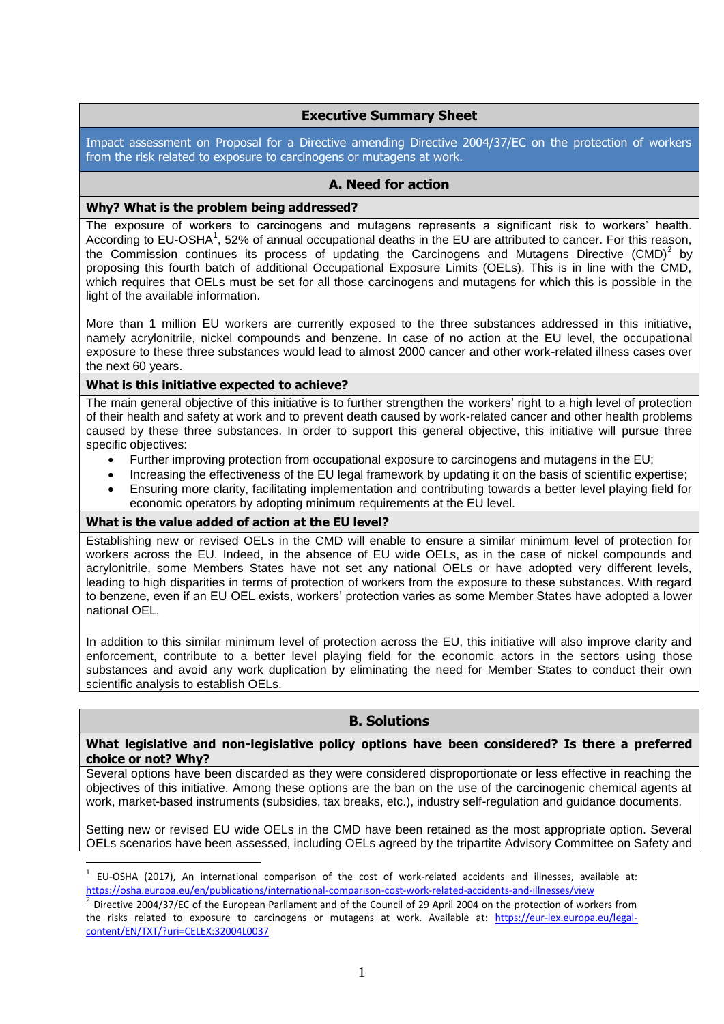## **Executive Summary Sheet**

Impact assessment on Proposal for a Directive amending Directive 2004/37/EC on the protection of workers from the risk related to exposure to carcinogens or mutagens at work.

### **A. Need for action**

#### **Why? What is the problem being addressed?**

The exposure of workers to carcinogens and mutagens represents a significant risk to workers' health. According to EU-OSHA<sup>1</sup>, 52% of annual occupational deaths in the EU are attributed to cancer. For this reason, the Commission continues its process of updating the Carcinogens and Mutagens Directive  $(CMD)^2$  by proposing this fourth batch of additional Occupational Exposure Limits (OELs). This is in line with the CMD, which requires that OELs must be set for all those carcinogens and mutagens for which this is possible in the light of the available information.

More than 1 million EU workers are currently exposed to the three substances addressed in this initiative, namely acrylonitrile, nickel compounds and benzene. In case of no action at the EU level, the occupational exposure to these three substances would lead to almost 2000 cancer and other work-related illness cases over the next 60 years.

#### **What is this initiative expected to achieve?**

The main general objective of this initiative is to further strengthen the workers' right to a high level of protection of their health and safety at work and to prevent death caused by work-related cancer and other health problems caused by these three substances. In order to support this general objective, this initiative will pursue three specific objectives:

- Further improving protection from occupational exposure to carcinogens and mutagens in the EU;
- Increasing the effectiveness of the EU legal framework by updating it on the basis of scientific expertise;
- Ensuring more clarity, facilitating implementation and contributing towards a better level playing field for economic operators by adopting minimum requirements at the EU level.

#### **What is the value added of action at the EU level?**

1

Establishing new or revised OELs in the CMD will enable to ensure a similar minimum level of protection for workers across the EU. Indeed, in the absence of EU wide OELs, as in the case of nickel compounds and acrylonitrile, some Members States have not set any national OELs or have adopted very different levels, leading to high disparities in terms of protection of workers from the exposure to these substances. With regard to benzene, even if an EU OEL exists, workers' protection varies as some Member States have adopted a lower national OEL.

In addition to this similar minimum level of protection across the EU, this initiative will also improve clarity and enforcement, contribute to a better level playing field for the economic actors in the sectors using those substances and avoid any work duplication by eliminating the need for Member States to conduct their own scientific analysis to establish OELs.

## **B. Solutions**

#### **What legislative and non-legislative policy options have been considered? Is there a preferred choice or not? Why?**

Several options have been discarded as they were considered disproportionate or less effective in reaching the objectives of this initiative. Among these options are the ban on the use of the carcinogenic chemical agents at work, market-based instruments (subsidies, tax breaks, etc.), industry self-regulation and guidance documents.

Setting new or revised EU wide OELs in the CMD have been retained as the most appropriate option. Several OELs scenarios have been assessed, including OELs agreed by the tripartite Advisory Committee on Safety and

<sup>1</sup> EU-OSHA (2017), An international comparison of the cost of work-related accidents and illnesses, available at: <https://osha.europa.eu/en/publications/international-comparison-cost-work-related-accidents-and-illnesses/view>

 $^2$  Directive 2004/37/EC of the European Parliament and of the Council of 29 April 2004 on the protection of workers from the risks related to exposure to carcinogens or mutagens at work. Available at: [https://eur-lex.europa.eu/legal](https://eur-lex.europa.eu/legal-content/EN/TXT/?uri=CELEX:32004L0037)[content/EN/TXT/?uri=CELEX:32004L0037](https://eur-lex.europa.eu/legal-content/EN/TXT/?uri=CELEX:32004L0037)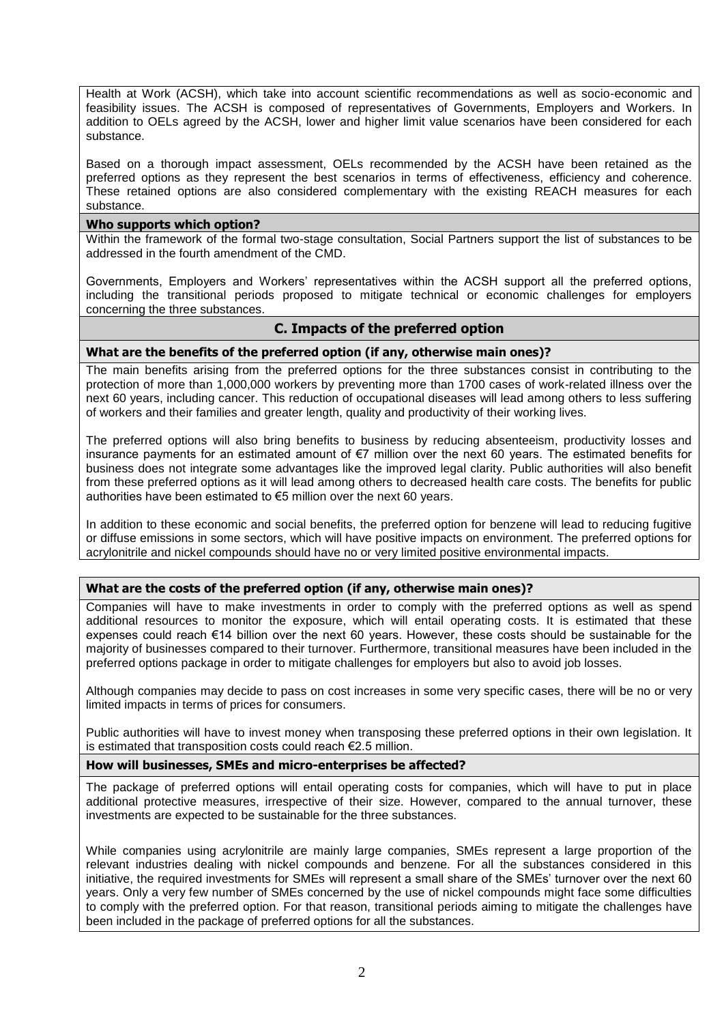Health at Work (ACSH), which take into account scientific recommendations as well as socio-economic and feasibility issues. The ACSH is composed of representatives of Governments, Employers and Workers. In addition to OELs agreed by the ACSH, lower and higher limit value scenarios have been considered for each substance.

Based on a thorough impact assessment, OELs recommended by the ACSH have been retained as the preferred options as they represent the best scenarios in terms of effectiveness, efficiency and coherence. These retained options are also considered complementary with the existing REACH measures for each substance.

#### **Who supports which option?**

Within the framework of the formal two-stage consultation, Social Partners support the list of substances to be addressed in the fourth amendment of the CMD.

Governments, Employers and Workers' representatives within the ACSH support all the preferred options, including the transitional periods proposed to mitigate technical or economic challenges for employers concerning the three substances.

## **C. Impacts of the preferred option**

#### **What are the benefits of the preferred option (if any, otherwise main ones)?**

The main benefits arising from the preferred options for the three substances consist in contributing to the protection of more than 1,000,000 workers by preventing more than 1700 cases of work-related illness over the next 60 years, including cancer. This reduction of occupational diseases will lead among others to less suffering of workers and their families and greater length, quality and productivity of their working lives.

The preferred options will also bring benefits to business by reducing absenteeism, productivity losses and insurance payments for an estimated amount of €7 million over the next 60 years. The estimated benefits for business does not integrate some advantages like the improved legal clarity. Public authorities will also benefit from these preferred options as it will lead among others to decreased health care costs. The benefits for public authorities have been estimated to €5 million over the next 60 years.

In addition to these economic and social benefits, the preferred option for benzene will lead to reducing fugitive or diffuse emissions in some sectors, which will have positive impacts on environment. The preferred options for acrylonitrile and nickel compounds should have no or very limited positive environmental impacts.

#### **What are the costs of the preferred option (if any, otherwise main ones)?**

Companies will have to make investments in order to comply with the preferred options as well as spend additional resources to monitor the exposure, which will entail operating costs. It is estimated that these expenses could reach €14 billion over the next 60 years. However, these costs should be sustainable for the majority of businesses compared to their turnover. Furthermore, transitional measures have been included in the preferred options package in order to mitigate challenges for employers but also to avoid job losses.

Although companies may decide to pass on cost increases in some very specific cases, there will be no or very limited impacts in terms of prices for consumers.

Public authorities will have to invest money when transposing these preferred options in their own legislation. It is estimated that transposition costs could reach €2.5 million.

#### **How will businesses, SMEs and micro-enterprises be affected?**

The package of preferred options will entail operating costs for companies, which will have to put in place additional protective measures, irrespective of their size. However, compared to the annual turnover, these investments are expected to be sustainable for the three substances.

While companies using acrylonitrile are mainly large companies, SMEs represent a large proportion of the relevant industries dealing with nickel compounds and benzene. For all the substances considered in this initiative, the required investments for SMEs will represent a small share of the SMEs' turnover over the next 60 years. Only a very few number of SMEs concerned by the use of nickel compounds might face some difficulties to comply with the preferred option. For that reason, transitional periods aiming to mitigate the challenges have been included in the package of preferred options for all the substances.